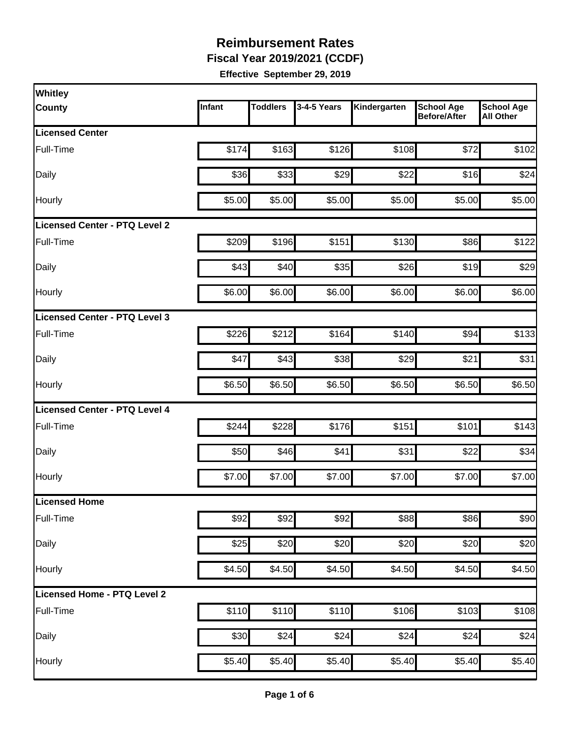**Fiscal Year 2019/2021 (CCDF)** 

| Whitley                              |        |                 |             |              |                                          |                                       |
|--------------------------------------|--------|-----------------|-------------|--------------|------------------------------------------|---------------------------------------|
| <b>County</b>                        | Infant | <b>Toddlers</b> | 3-4-5 Years | Kindergarten | <b>School Age</b><br><b>Before/After</b> | <b>School Age</b><br><b>All Other</b> |
| <b>Licensed Center</b>               |        |                 |             |              |                                          |                                       |
| Full-Time                            | \$174  | \$163           | \$126       | \$108        | \$72                                     | \$102                                 |
| Daily                                | \$36   | \$33            | \$29        | \$22         | \$16                                     | \$24                                  |
| Hourly                               | \$5.00 | \$5.00          | \$5.00      | \$5.00       | \$5.00                                   | \$5.00                                |
| <b>Licensed Center - PTQ Level 2</b> |        |                 |             |              |                                          |                                       |
| Full-Time                            | \$209  | \$196           | \$151       | \$130        | \$86                                     | \$122                                 |
| Daily                                | \$43   | \$40            | \$35        | \$26         | \$19                                     | \$29                                  |
| Hourly                               | \$6.00 | \$6.00          | \$6.00      | \$6.00       | \$6.00                                   | \$6.00                                |
| Licensed Center - PTQ Level 3        |        |                 |             |              |                                          |                                       |
| Full-Time                            | \$226  | \$212           | \$164       | \$140        | \$94                                     | \$133                                 |
| Daily                                | \$47   | \$43            | \$38        | \$29         | \$21                                     | \$31                                  |
| Hourly                               | \$6.50 | \$6.50          | \$6.50      | \$6.50       | \$6.50                                   | \$6.50                                |
| <b>Licensed Center - PTQ Level 4</b> |        |                 |             |              |                                          |                                       |
| Full-Time                            | \$244  | \$228           | \$176       | \$151        | \$101                                    | \$143                                 |
| Daily                                | \$50   | \$46            | \$41        | \$31         | \$22                                     | \$34                                  |
| Hourly                               | \$7.00 | \$7.00          | \$7.00      | \$7.00       | \$7.00                                   | \$7.00                                |
| Licensed Home                        |        |                 |             |              |                                          |                                       |
| Full-Time                            | \$92   | \$92            | \$92        | \$88         | \$86                                     | \$90                                  |
| Daily                                | \$25   | \$20            | \$20        | \$20         | \$20                                     | \$20                                  |
| Hourly                               | \$4.50 | \$4.50          | \$4.50      | \$4.50       | \$4.50                                   | \$4.50                                |
| Licensed Home - PTQ Level 2          |        |                 |             |              |                                          |                                       |
| Full-Time                            | \$110  | \$110           | \$110       | \$106        | \$103                                    | \$108                                 |
| Daily                                | \$30   | \$24            | \$24        | \$24         | \$24                                     | \$24                                  |
| Hourly                               | \$5.40 | \$5.40          | \$5.40      | \$5.40       | \$5.40                                   | \$5.40                                |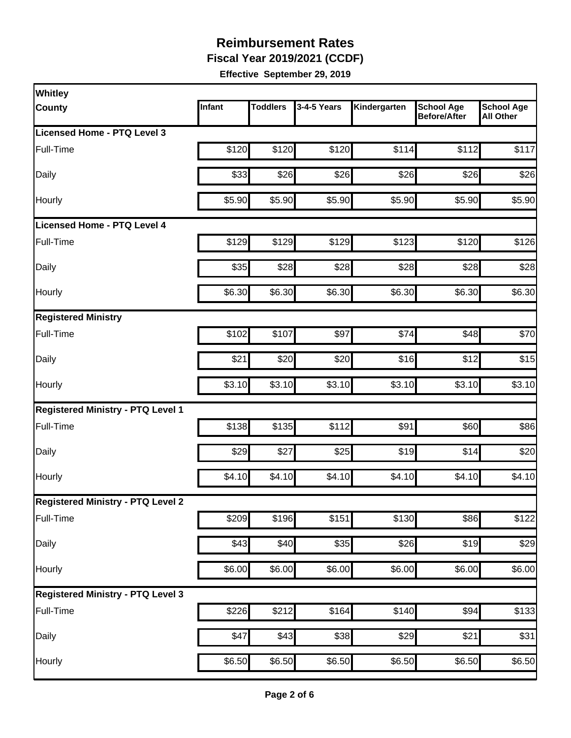**Fiscal Year 2019/2021 (CCDF)** 

| Whitley                                  |        |                 |             |                    |                                          |                                       |
|------------------------------------------|--------|-----------------|-------------|--------------------|------------------------------------------|---------------------------------------|
| <b>County</b>                            | Infant | <b>Toddlers</b> | 3-4-5 Years | Kindergarten       | <b>School Age</b><br><b>Before/After</b> | <b>School Age</b><br><b>All Other</b> |
| <b>Licensed Home - PTQ Level 3</b>       |        |                 |             |                    |                                          |                                       |
| Full-Time                                | \$120  | \$120           | \$120       | \$114              | \$112                                    | \$117                                 |
| Daily                                    | \$33   | \$26            | \$26        | \$26               | \$26                                     | \$26                                  |
| Hourly                                   | \$5.90 | \$5.90          | \$5.90      | \$5.90             | \$5.90                                   | \$5.90                                |
| Licensed Home - PTQ Level 4              |        |                 |             |                    |                                          |                                       |
| Full-Time                                | \$129  | \$129           | \$129       | \$123              | \$120                                    | \$126                                 |
| Daily                                    | \$35   | \$28            | \$28        | \$28               | \$28                                     | \$28                                  |
| Hourly                                   | \$6.30 | \$6.30          | \$6.30      | \$6.30             | \$6.30                                   | \$6.30                                |
| <b>Registered Ministry</b>               |        |                 |             |                    |                                          |                                       |
| Full-Time                                | \$102  | \$107           | \$97        | \$74               | \$48                                     | \$70                                  |
| Daily                                    | \$21   | \$20            | \$20        | \$16               | \$12                                     | \$15                                  |
| Hourly                                   | \$3.10 | \$3.10          | \$3.10      | \$3.10             | \$3.10                                   | \$3.10                                |
| <b>Registered Ministry - PTQ Level 1</b> |        |                 |             |                    |                                          |                                       |
| Full-Time                                | \$138  | \$135           | \$112]      | \$91               | \$60                                     | \$86                                  |
| Daily                                    | \$29   | \$27            | \$25        | \$19               | \$14                                     | \$20                                  |
| Hourly                                   | \$4.10 | \$4.10          | \$4.10      | \$4.10             | \$4.10                                   | \$4.10                                |
| <b>Registered Ministry - PTQ Level 2</b> |        |                 |             |                    |                                          |                                       |
| Full-Time                                | \$209  | \$196           | \$151       | \$130              | \$86                                     | \$122                                 |
| Daily                                    | \$43   | \$40            | \$35        | \$26               | \$19                                     | \$29                                  |
| Hourly                                   | \$6.00 | \$6.00          | \$6.00      | \$6.00             | \$6.00                                   | \$6.00                                |
| <b>Registered Ministry - PTQ Level 3</b> |        |                 |             |                    |                                          |                                       |
| Full-Time                                | \$226  | \$212           | \$164       | \$140              | \$94                                     | \$133                                 |
| Daily                                    | \$47   | \$43            | \$38        | \$29               | \$21                                     | \$31                                  |
| Hourly                                   | \$6.50 | \$6.50          | \$6.50      | $\overline{$6.50}$ | \$6.50                                   | \$6.50                                |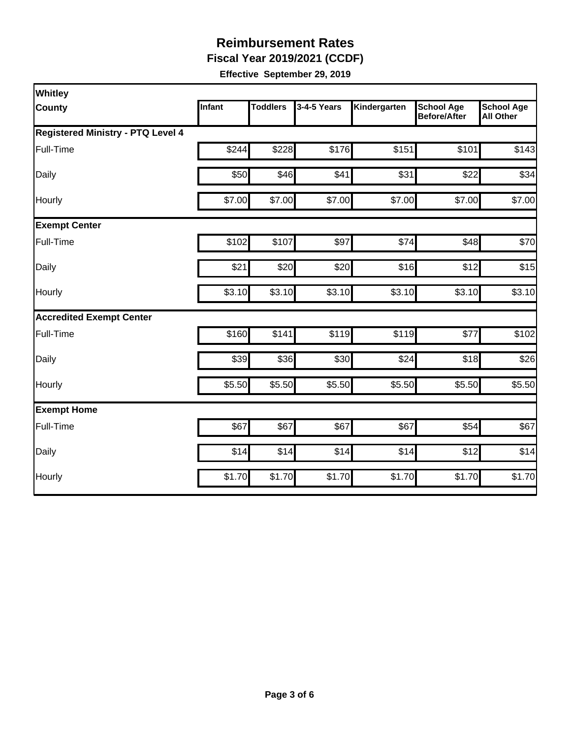**Fiscal Year 2019/2021 (CCDF)** 

| Whitley                                  |        |                 |             |              |                                          |                                       |
|------------------------------------------|--------|-----------------|-------------|--------------|------------------------------------------|---------------------------------------|
| <b>County</b>                            | Infant | <b>Toddlers</b> | 3-4-5 Years | Kindergarten | <b>School Age</b><br><b>Before/After</b> | <b>School Age</b><br><b>All Other</b> |
| <b>Registered Ministry - PTQ Level 4</b> |        |                 |             |              |                                          |                                       |
| Full-Time                                | \$244  | \$228           | \$176       | \$151        | \$101                                    | \$143                                 |
| Daily                                    | \$50   | \$46            | \$41        | \$31         | \$22                                     | \$34                                  |
| Hourly                                   | \$7.00 | \$7.00          | \$7.00      | \$7.00       | \$7.00                                   | \$7.00                                |
| <b>Exempt Center</b>                     |        |                 |             |              |                                          |                                       |
| Full-Time                                | \$102  | \$107           | \$97        | \$74         | \$48                                     | \$70                                  |
| Daily                                    | \$21   | \$20            | \$20        | \$16         | \$12                                     | \$15                                  |
| Hourly                                   | \$3.10 | \$3.10          | \$3.10      | \$3.10       | \$3.10                                   | \$3.10                                |
| <b>Accredited Exempt Center</b>          |        |                 |             |              |                                          |                                       |
| Full-Time                                | \$160  | \$141           | \$119       | \$119        | \$77                                     | \$102                                 |
| Daily                                    | \$39   | \$36            | \$30        | \$24         | \$18                                     | \$26                                  |
| Hourly                                   | \$5.50 | \$5.50          | \$5.50      | \$5.50       | \$5.50                                   | \$5.50                                |
| <b>Exempt Home</b>                       |        |                 |             |              |                                          |                                       |
| Full-Time                                | \$67   | \$67            | \$67        | \$67         | \$54                                     | \$67                                  |
| Daily                                    | \$14   | \$14            | \$14        | \$14         | \$12                                     | \$14                                  |
| Hourly                                   | \$1.70 | \$1.70          | \$1.70      | \$1.70       | \$1.70                                   | \$1.70                                |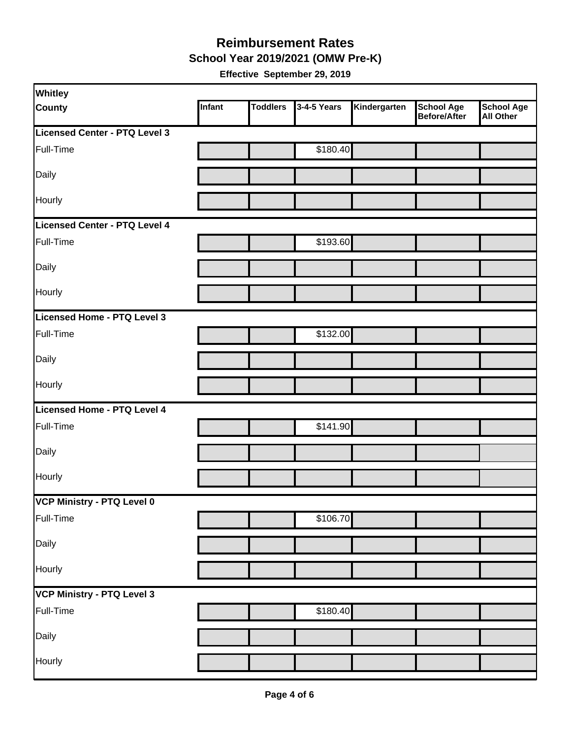#### **Reimbursement Rates School Year 2019/2021 (OMW Pre-K)**

| Whitley                       |        |                 |             |              |                                   |                                       |
|-------------------------------|--------|-----------------|-------------|--------------|-----------------------------------|---------------------------------------|
| <b>County</b>                 | Infant | <b>Toddlers</b> | 3-4-5 Years | Kindergarten | <b>School Age</b><br>Before/After | <b>School Age</b><br><b>All Other</b> |
| Licensed Center - PTQ Level 3 |        |                 |             |              |                                   |                                       |
| Full-Time                     |        |                 | \$180.40    |              |                                   |                                       |
| Daily                         |        |                 |             |              |                                   |                                       |
| Hourly                        |        |                 |             |              |                                   |                                       |
| Licensed Center - PTQ Level 4 |        |                 |             |              |                                   |                                       |
| Full-Time                     |        |                 | \$193.60    |              |                                   |                                       |
| Daily                         |        |                 |             |              |                                   |                                       |
| Hourly                        |        |                 |             |              |                                   |                                       |
| Licensed Home - PTQ Level 3   |        |                 |             |              |                                   |                                       |
| Full-Time                     |        |                 | \$132.00    |              |                                   |                                       |
| Daily                         |        |                 |             |              |                                   |                                       |
| Hourly                        |        |                 |             |              |                                   |                                       |
| Licensed Home - PTQ Level 4   |        |                 |             |              |                                   |                                       |
| Full-Time                     |        |                 | \$141.90    |              |                                   |                                       |
| Daily                         |        |                 |             |              |                                   |                                       |
| Hourly                        |        |                 |             |              |                                   |                                       |
| VCP Ministry - PTQ Level 0    |        |                 |             |              |                                   |                                       |
| Full-Time                     |        |                 | \$106.70    |              |                                   |                                       |
| Daily                         |        |                 |             |              |                                   |                                       |
| Hourly                        |        |                 |             |              |                                   |                                       |
| VCP Ministry - PTQ Level 3    |        |                 |             |              |                                   |                                       |
| Full-Time                     |        |                 | \$180.40    |              |                                   |                                       |
| Daily                         |        |                 |             |              |                                   |                                       |
| Hourly                        |        |                 |             |              |                                   |                                       |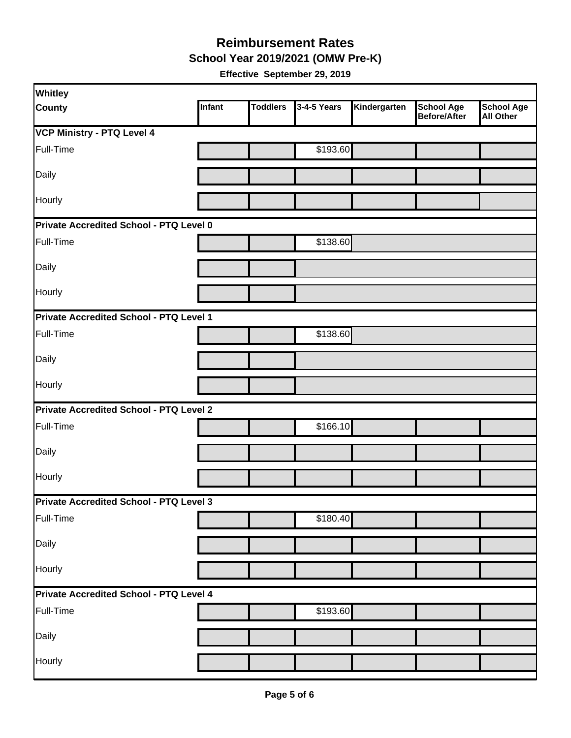**School Year 2019/2021 (OMW Pre-K)** 

| Whitley                                 |        |                 |             |              |                                          |                                       |
|-----------------------------------------|--------|-----------------|-------------|--------------|------------------------------------------|---------------------------------------|
| <b>County</b>                           | Infant | <b>Toddlers</b> | 3-4-5 Years | Kindergarten | <b>School Age</b><br><b>Before/After</b> | <b>School Age</b><br><b>All Other</b> |
| <b>VCP Ministry - PTQ Level 4</b>       |        |                 |             |              |                                          |                                       |
| Full-Time                               |        |                 | \$193.60    |              |                                          |                                       |
| Daily                                   |        |                 |             |              |                                          |                                       |
| Hourly                                  |        |                 |             |              |                                          |                                       |
| Private Accredited School - PTQ Level 0 |        |                 |             |              |                                          |                                       |
| Full-Time                               |        |                 | \$138.60    |              |                                          |                                       |
| Daily                                   |        |                 |             |              |                                          |                                       |
| Hourly                                  |        |                 |             |              |                                          |                                       |
| Private Accredited School - PTQ Level 1 |        |                 |             |              |                                          |                                       |
| Full-Time                               |        |                 | \$138.60    |              |                                          |                                       |
| Daily                                   |        |                 |             |              |                                          |                                       |
| Hourly                                  |        |                 |             |              |                                          |                                       |
| Private Accredited School - PTQ Level 2 |        |                 |             |              |                                          |                                       |
| Full-Time                               |        |                 | \$166.10    |              |                                          |                                       |
| Daily                                   |        |                 |             |              |                                          |                                       |
| Hourly                                  |        |                 |             |              |                                          |                                       |
| Private Accredited School - PTQ Level 3 |        |                 |             |              |                                          |                                       |
| Full-Time                               |        |                 | \$180.40    |              |                                          |                                       |
| Daily                                   |        |                 |             |              |                                          |                                       |
| Hourly                                  |        |                 |             |              |                                          |                                       |
| Private Accredited School - PTQ Level 4 |        |                 |             |              |                                          |                                       |
| Full-Time                               |        |                 | \$193.60    |              |                                          |                                       |
| Daily                                   |        |                 |             |              |                                          |                                       |
| Hourly                                  |        |                 |             |              |                                          |                                       |